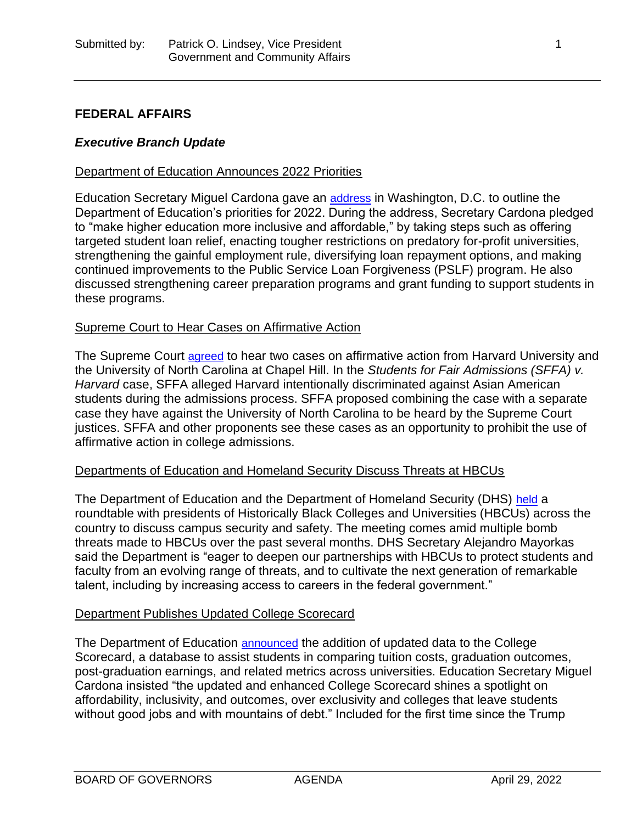# **FEDERAL AFFAIRS**

### *Executive Branch Update*

#### Department of Education Announces 2022 Priorities

Education Secretary Miguel Cardona gave an **[address](https://www.ed.gov/news/press-releases/secretary-cardona-lays-out-vision-education-america)** in Washington, D.C. to outline the Department of Education's priorities for 2022. During the address, Secretary Cardona pledged to "make higher education more inclusive and affordable," by taking steps such as offering targeted student loan relief, enacting tougher restrictions on predatory for-profit universities, strengthening the gainful employment rule, diversifying loan repayment options, and making continued improvements to the Public Service Loan Forgiveness (PSLF) program. He also discussed strengthening career preparation programs and grant funding to support students in these programs.

### Supreme Court to Hear Cases on Affirmative Action

The Supreme Court [agreed](https://www.supremecourt.gov/orders/courtorders/012422zor_m6io.pdf) to hear two cases on affirmative action from Harvard University and the University of North Carolina at Chapel Hill. In the *Students for Fair Admissions (SFFA) v. Harvard* case, SFFA alleged Harvard intentionally discriminated against Asian American students during the admissions process. SFFA proposed combining the case with a separate case they have against the University of North Carolina to be heard by the Supreme Court justices. SFFA and other proponents see these cases as an opportunity to prohibit the use of affirmative action in college admissions.

#### Departments of Education and Homeland Security Discuss Threats at HBCUs

The Department of Education and the Department of Homeland Security (DHS) [held](https://www.dhs.gov/news/2022/01/24/readout-secretaries-mayorkas-and-cardona-s-meeting-hbcu-presidents-international-day) a roundtable with presidents of Historically Black Colleges and Universities (HBCUs) across the country to discuss campus security and safety. The meeting comes amid multiple bomb threats made to HBCUs over the past several months. DHS Secretary Alejandro Mayorkas said the Department is "eager to deepen our partnerships with HBCUs to protect students and faculty from an evolving range of threats, and to cultivate the next generation of remarkable talent, including by increasing access to careers in the federal government."

#### Department Publishes Updated College Scorecard

The Department of Education **[announced](https://www.ed.gov/news/press-releases/new-updates-college-scorecard-make-tool-more-useful-students-and-families-data-about-college-costs-graduation-rates-and-post-college-earnings)** the addition of updated data to the College Scorecard, a database to assist students in comparing tuition costs, graduation outcomes, post-graduation earnings, and related metrics across universities. Education Secretary Miguel Cardona insisted "the updated and enhanced College Scorecard shines a spotlight on affordability, inclusivity, and outcomes, over exclusivity and colleges that leave students without good jobs and with mountains of debt." Included for the first time since the Trump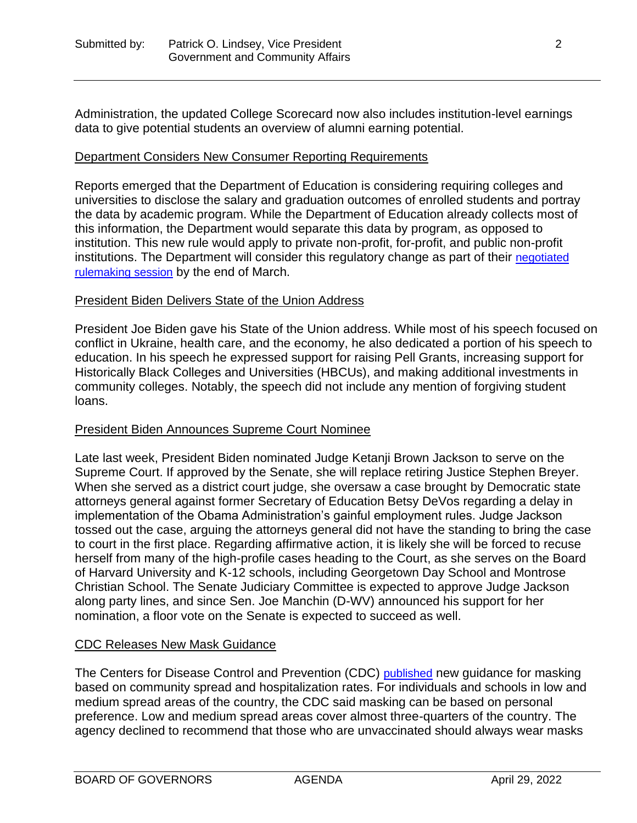Administration, the updated College Scorecard now also includes institution-level earnings data to give potential students an overview of alumni earning potential.

### Department Considers New Consumer Reporting Requirements

Reports emerged that the Department of Education is considering requiring colleges and universities to disclose the salary and graduation outcomes of enrolled students and portray the data by academic program. While the Department of Education already collects most of this information, the Department would separate this data by program, as opposed to institution. This new rule would apply to private non-profit, for-profit, and public non-profit institutions. The Department will consider this regulatory change as part of their [negotiated](https://www2.ed.gov/policy/highered/reg/hearulemaking/2021/index.html?src=rn#ipec)  [rulemaking session](https://www2.ed.gov/policy/highered/reg/hearulemaking/2021/index.html?src=rn#ipec) by the end of March.

#### President Biden Delivers State of the Union Address

President Joe Biden gave his State of the Union address. While most of his speech focused on conflict in Ukraine, health care, and the economy, he also dedicated a portion of his speech to education. In his speech he expressed support for raising Pell Grants, increasing support for Historically Black Colleges and Universities (HBCUs), and making additional investments in community colleges. Notably, the speech did not include any mention of forgiving student loans.

#### President Biden Announces Supreme Court Nominee

Late last week, President Biden nominated Judge Ketanji Brown Jackson to serve on the Supreme Court. If approved by the Senate, she will replace retiring Justice Stephen Breyer. When she served as a district court judge, she oversaw a case brought by Democratic state attorneys general against former Secretary of Education Betsy DeVos regarding a delay in implementation of the Obama Administration's gainful employment rules. Judge Jackson tossed out the case, arguing the attorneys general did not have the standing to bring the case to court in the first place. Regarding affirmative action, it is likely she will be forced to recuse herself from many of the high-profile cases heading to the Court, as she serves on the Board of Harvard University and K-12 schools, including Georgetown Day School and Montrose Christian School. The Senate Judiciary Committee is expected to approve Judge Jackson along party lines, and since Sen. Joe Manchin (D-WV) announced his support for her nomination, a floor vote on the Senate is expected to succeed as well.

# CDC Releases New Mask Guidance

The Centers for Disease Control and Prevention (CDC) [published](https://www.politico.com/news/2022/02/25/americans-can-take-off-masks-cdc-covid-00011943) new guidance for masking based on community spread and hospitalization rates. For individuals and schools in low and medium spread areas of the country, the CDC said masking can be based on personal preference. Low and medium spread areas cover almost three-quarters of the country. The agency declined to recommend that those who are unvaccinated should always wear masks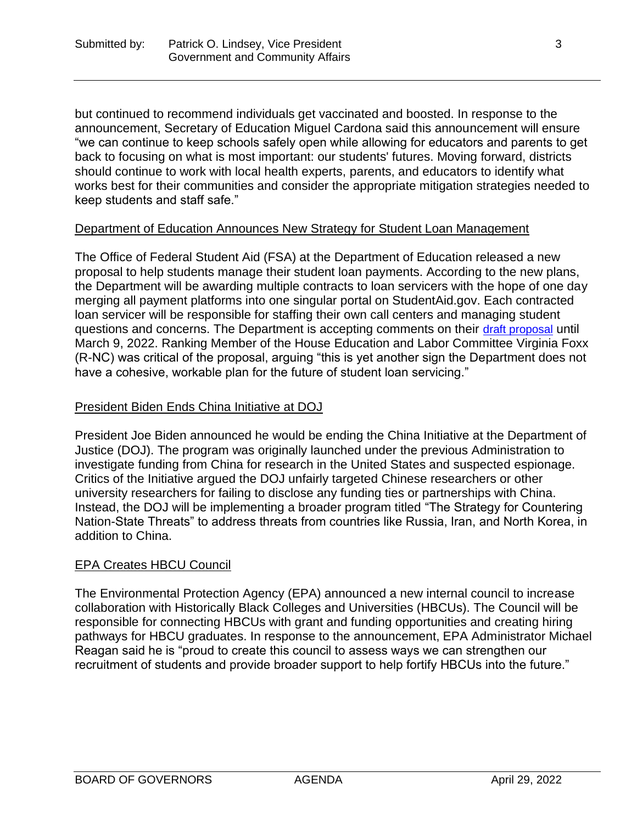but continued to recommend individuals get vaccinated and boosted. In response to the announcement, Secretary of Education Miguel Cardona said this announcement will ensure "we can continue to keep schools safely open while allowing for educators and parents to get back to focusing on what is most important: our students' futures. Moving forward, districts should continue to work with local health experts, parents, and educators to identify what works best for their communities and consider the appropriate mitigation strategies needed to keep students and staff safe."

### Department of Education Announces New Strategy for Student Loan Management

The Office of Federal Student Aid (FSA) at the Department of Education released a new proposal to help students manage their student loan payments. According to the new plans, the Department will be awarding multiple contracts to loan servicers with the hope of one day merging all payment platforms into one singular portal on StudentAid.gov. Each contracted loan servicer will be responsible for staffing their own call centers and managing student questions and concerns. The Department is accepting comments on their [draft proposal](https://sam.gov/opp/799f4f6a2812407985baca278620a753/view) until March 9, 2022. Ranking Member of the House Education and Labor Committee Virginia Foxx (R-NC) was critical of the proposal, arguing "this is yet another sign the Department does not have a cohesive, workable plan for the future of student loan servicing."

# President Biden Ends China Initiative at DOJ

President Joe Biden announced he would be ending the China Initiative at the Department of Justice (DOJ). The program was originally launched under the previous Administration to investigate funding from China for research in the United States and suspected espionage. Critics of the Initiative argued the DOJ unfairly targeted Chinese researchers or other university researchers for failing to disclose any funding ties or partnerships with China. Instead, the DOJ will be implementing a broader program titled "The Strategy for Countering Nation-State Threats" to address threats from countries like Russia, Iran, and North Korea, in addition to China.

# EPA Creates HBCU Council

The Environmental Protection Agency (EPA) announced a new internal council to increase collaboration with Historically Black Colleges and Universities (HBCUs). The Council will be responsible for connecting HBCUs with grant and funding opportunities and creating hiring pathways for HBCU graduates. In response to the announcement, EPA Administrator Michael Reagan said he is "proud to create this council to assess ways we can strengthen our recruitment of students and provide broader support to help fortify HBCUs into the future."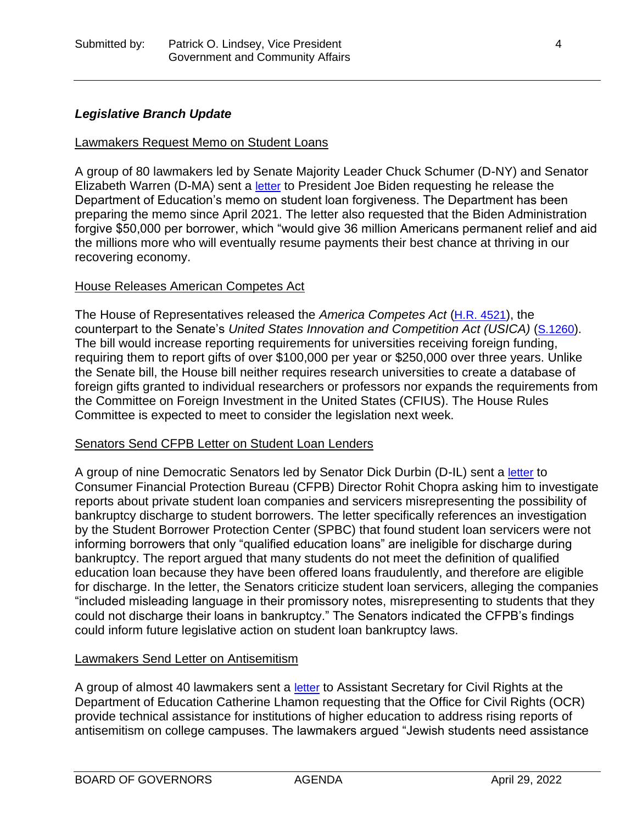# *Legislative Branch Update*

#### Lawmakers Request Memo on Student Loans

A group of 80 lawmakers led by Senate Majority Leader Chuck Schumer (D-NY) and Senator Elizabeth Warren (D-MA) sent a [letter](https://www.warren.senate.gov/newsroom/press-releases/warren-schumer-jayapal-pressley-omar-porter-urge-president-biden-to-deliver-on-promise-to-cancel-student-debt) to President Joe Biden requesting he release the Department of Education's memo on student loan forgiveness. The Department has been preparing the memo since April 2021. The letter also requested that the Biden Administration forgive \$50,000 per borrower, which "would give 36 million Americans permanent relief and aid the millions more who will eventually resume payments their best chance at thriving in our recovering economy.

#### House Releases American Competes Act

The House of Representatives released the *America Competes Act* ([H.R. 4521](https://www.congress.gov/bill/117th-congress/house-bill/4521)), the counterpart to the Senate's *United States Innovation and Competition Act (USICA)* ([S.1260](https://www.congress.gov/bill/117th-congress/senate-bill/1260?q=%7B%22search%22%3A%5B%22United+States+Innovation+and+Competition+Act+of+2021%22%5D%7D&s=1&r=1)). The bill would increase reporting requirements for universities receiving foreign funding, requiring them to report gifts of over \$100,000 per year or \$250,000 over three years. Unlike the Senate bill, the House bill neither requires research universities to create a database of foreign gifts granted to individual researchers or professors nor expands the requirements from the Committee on Foreign Investment in the United States (CFIUS). The House Rules Committee is expected to meet to consider the legislation next week.

#### Senators Send CFPB Letter on Student Loan Lenders

A group of nine Democratic Senators led by Senator Dick Durbin (D-IL) sent a [letter](https://www.durbin.senate.gov/imo/media/doc/Letter_CFPB%20Reqeust%20to%20Review%20SBPC%20Report_Final.pdf) to Consumer Financial Protection Bureau (CFPB) Director Rohit Chopra asking him to investigate reports about private student loan companies and servicers misrepresenting the possibility of bankruptcy discharge to student borrowers. The letter specifically references an investigation by the Student Borrower Protection Center (SPBC) that found student loan servicers were not informing borrowers that only "qualified education loans" are ineligible for discharge during bankruptcy. The report argued that many students do not meet the definition of qualified education loan because they have been offered loans fraudulently, and therefore are eligible for discharge. In the letter, the Senators criticize student loan servicers, alleging the companies "included misleading language in their promissory notes, misrepresenting to students that they could not discharge their loans in bankruptcy." The Senators indicated the CFPB's findings could inform future legislative action on student loan bankruptcy laws.

#### Lawmakers Send Letter on Antisemitism

A group of almost 40 lawmakers sent a [letter](https://lieu.house.gov/sites/lieu.house.gov/files/%5BFINAL%5D%20Lieu%20Letter%20to%20DOE%20regarding%20Title%20VI%20Complaint%20Processing%20%5B2.4.2022%5D.pdf) to Assistant Secretary for Civil Rights at the Department of Education Catherine Lhamon requesting that the Office for Civil Rights (OCR) provide technical assistance for institutions of higher education to address rising reports of antisemitism on college campuses. The lawmakers argued "Jewish students need assistance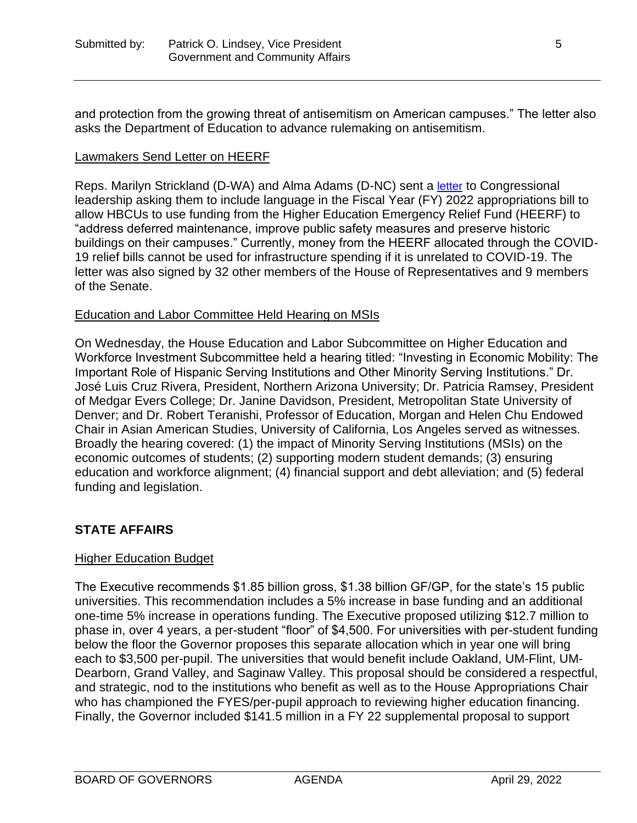and protection from the growing threat of antisemitism on American campuses." The letter also asks the Department of Education to advance rulemaking on antisemitism.

### Lawmakers Send Letter on HEERF

Reps. Marilyn Strickland (D-WA) and Alma Adams (D-NC) sent a [letter](https://strickland.house.gov/media/press-releases/strickland-adams-lead-bipartisan-bicameral-letter-support-historically-black) to Congressional leadership asking them to include language in the Fiscal Year (FY) 2022 appropriations bill to allow HBCUs to use funding from the Higher Education Emergency Relief Fund (HEERF) to "address deferred maintenance, improve public safety measures and preserve historic buildings on their campuses." Currently, money from the HEERF allocated through the COVID-19 relief bills cannot be used for infrastructure spending if it is unrelated to COVID-19. The letter was also signed by 32 other members of the House of Representatives and 9 members of the Senate.

### Education and Labor Committee Held Hearing on MSIs

On Wednesday, the House Education and Labor Subcommittee on Higher Education and Workforce Investment Subcommittee held a hearing titled: "Investing in Economic Mobility: The Important Role of Hispanic Serving Institutions and Other Minority Serving Institutions." Dr. José Luis Cruz Rivera, President, Northern Arizona University; Dr. Patricia Ramsey, President of Medgar Evers College; Dr. Janine Davidson, President, Metropolitan State University of Denver; and Dr. Robert Teranishi, Professor of Education, Morgan and Helen Chu Endowed Chair in Asian American Studies, University of California, Los Angeles served as witnesses. Broadly the hearing covered: (1) the impact of Minority Serving Institutions (MSIs) on the economic outcomes of students; (2) supporting modern student demands; (3) ensuring education and workforce alignment; (4) financial support and debt alleviation; and (5) federal funding and legislation.

# **STATE AFFAIRS**

#### Higher Education Budget

The Executive recommends \$1.85 billion gross, \$1.38 billion GF/GP, for the state's 15 public universities. This recommendation includes a 5% increase in base funding and an additional one-time 5% increase in operations funding. The Executive proposed utilizing \$12.7 million to phase in, over 4 years, a per-student "floor" of \$4,500. For universities with per-student funding below the floor the Governor proposes this separate allocation which in year one will bring each to \$3,500 per-pupil. The universities that would benefit include Oakland, UM-Flint, UM-Dearborn, Grand Valley, and Saginaw Valley. This proposal should be considered a respectful, and strategic, nod to the institutions who benefit as well as to the House Appropriations Chair who has championed the FYES/per-pupil approach to reviewing higher education financing. Finally, the Governor included \$141.5 million in a FY 22 supplemental proposal to support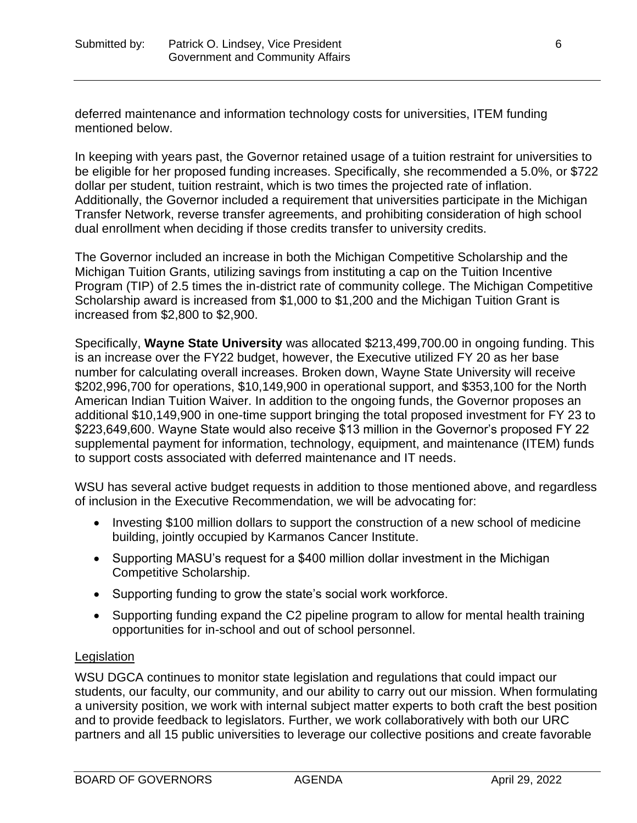deferred maintenance and information technology costs for universities, ITEM funding mentioned below.

In keeping with years past, the Governor retained usage of a tuition restraint for universities to be eligible for her proposed funding increases. Specifically, she recommended a 5.0%, or \$722 dollar per student, tuition restraint, which is two times the projected rate of inflation. Additionally, the Governor included a requirement that universities participate in the Michigan Transfer Network, reverse transfer agreements, and prohibiting consideration of high school dual enrollment when deciding if those credits transfer to university credits.

The Governor included an increase in both the Michigan Competitive Scholarship and the Michigan Tuition Grants, utilizing savings from instituting a cap on the Tuition Incentive Program (TIP) of 2.5 times the in-district rate of community college. The Michigan Competitive Scholarship award is increased from \$1,000 to \$1,200 and the Michigan Tuition Grant is increased from \$2,800 to \$2,900.

Specifically, **Wayne State University** was allocated \$213,499,700.00 in ongoing funding. This is an increase over the FY22 budget, however, the Executive utilized FY 20 as her base number for calculating overall increases. Broken down, Wayne State University will receive \$202,996,700 for operations, \$10,149,900 in operational support, and \$353,100 for the North American Indian Tuition Waiver. In addition to the ongoing funds, the Governor proposes an additional \$10,149,900 in one-time support bringing the total proposed investment for FY 23 to \$223,649,600. Wayne State would also receive \$13 million in the Governor's proposed FY 22 supplemental payment for information, technology, equipment, and maintenance (ITEM) funds to support costs associated with deferred maintenance and IT needs.

WSU has several active budget requests in addition to those mentioned above, and regardless of inclusion in the Executive Recommendation, we will be advocating for:

- Investing \$100 million dollars to support the construction of a new school of medicine building, jointly occupied by Karmanos Cancer Institute.
- Supporting MASU's request for a \$400 million dollar investment in the Michigan Competitive Scholarship.
- Supporting funding to grow the state's social work workforce.
- Supporting funding expand the C2 pipeline program to allow for mental health training opportunities for in-school and out of school personnel.

# **Legislation**

WSU DGCA continues to monitor state legislation and regulations that could impact our students, our faculty, our community, and our ability to carry out our mission. When formulating a university position, we work with internal subject matter experts to both craft the best position and to provide feedback to legislators. Further, we work collaboratively with both our URC partners and all 15 public universities to leverage our collective positions and create favorable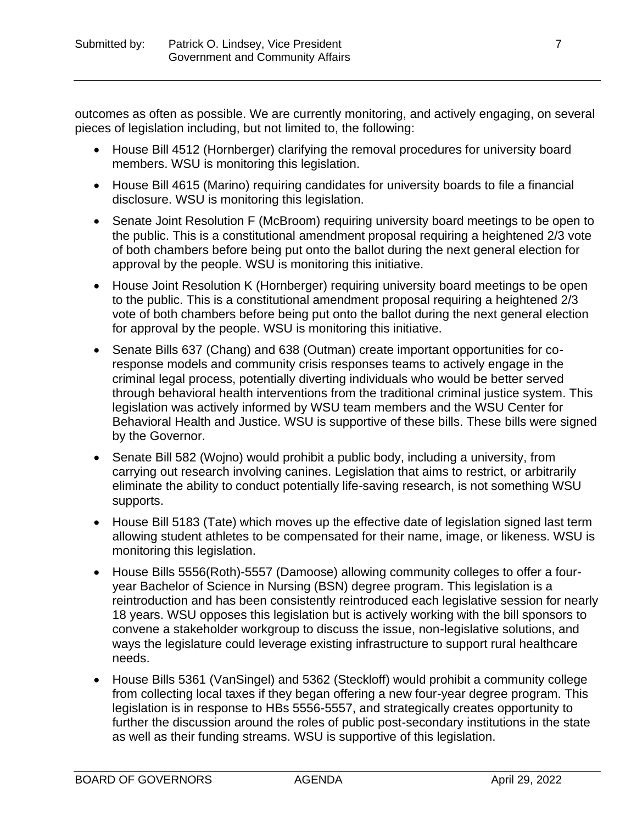outcomes as often as possible. We are currently monitoring, and actively engaging, on several pieces of legislation including, but not limited to, the following:

- House Bill 4512 (Hornberger) clarifying the removal procedures for university board members. WSU is monitoring this legislation.
- House Bill 4615 (Marino) requiring candidates for university boards to file a financial disclosure. WSU is monitoring this legislation.
- Senate Joint Resolution F (McBroom) requiring university board meetings to be open to the public. This is a constitutional amendment proposal requiring a heightened 2/3 vote of both chambers before being put onto the ballot during the next general election for approval by the people. WSU is monitoring this initiative.
- House Joint Resolution K (Hornberger) requiring university board meetings to be open to the public. This is a constitutional amendment proposal requiring a heightened 2/3 vote of both chambers before being put onto the ballot during the next general election for approval by the people. WSU is monitoring this initiative.
- Senate Bills 637 (Chang) and 638 (Outman) create important opportunities for coresponse models and community crisis responses teams to actively engage in the criminal legal process, potentially diverting individuals who would be better served through behavioral health interventions from the traditional criminal justice system. This legislation was actively informed by WSU team members and the WSU Center for Behavioral Health and Justice. WSU is supportive of these bills. These bills were signed by the Governor.
- Senate Bill 582 (Wojno) would prohibit a public body, including a university, from carrying out research involving canines. Legislation that aims to restrict, or arbitrarily eliminate the ability to conduct potentially life-saving research, is not something WSU supports.
- House Bill 5183 (Tate) which moves up the effective date of legislation signed last term allowing student athletes to be compensated for their name, image, or likeness. WSU is monitoring this legislation.
- House Bills 5556(Roth)-5557 (Damoose) allowing community colleges to offer a fouryear Bachelor of Science in Nursing (BSN) degree program. This legislation is a reintroduction and has been consistently reintroduced each legislative session for nearly 18 years. WSU opposes this legislation but is actively working with the bill sponsors to convene a stakeholder workgroup to discuss the issue, non-legislative solutions, and ways the legislature could leverage existing infrastructure to support rural healthcare needs.
- House Bills 5361 (VanSingel) and 5362 (Steckloff) would prohibit a community college from collecting local taxes if they began offering a new four-year degree program. This legislation is in response to HBs 5556-5557, and strategically creates opportunity to further the discussion around the roles of public post-secondary institutions in the state as well as their funding streams. WSU is supportive of this legislation.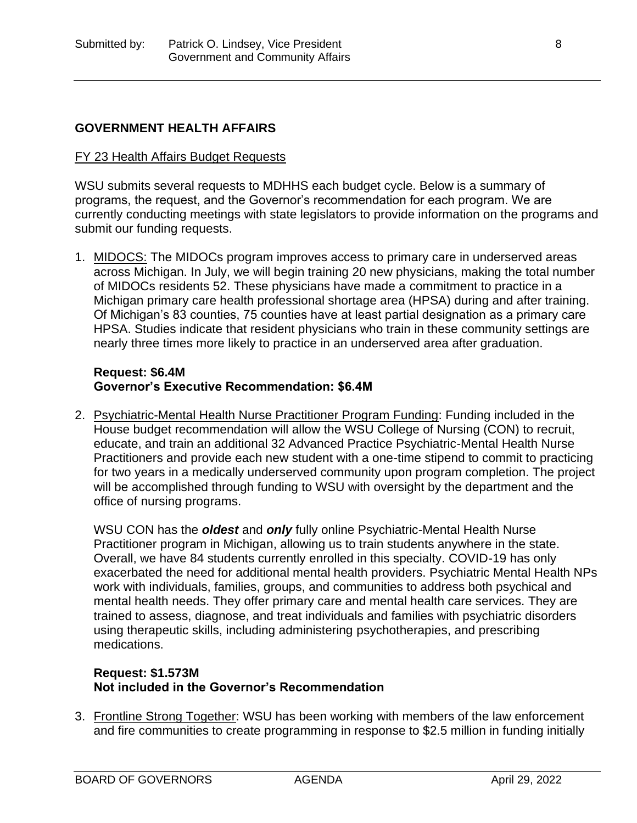# **GOVERNMENT HEALTH AFFAIRS**

### FY 23 Health Affairs Budget Requests

WSU submits several requests to MDHHS each budget cycle. Below is a summary of programs, the request, and the Governor's recommendation for each program. We are currently conducting meetings with state legislators to provide information on the programs and submit our funding requests.

1. MIDOCS: The MIDOCs program improves access to primary care in underserved areas across Michigan. In July, we will begin training 20 new physicians, making the total number of MIDOCs residents 52. These physicians have made a commitment to practice in a Michigan primary care health professional shortage area (HPSA) during and after training. Of Michigan's 83 counties, 75 counties have at least partial designation as a primary care HPSA. Studies indicate that resident physicians who train in these community settings are nearly three times more likely to practice in an underserved area after graduation.

#### **Request: \$6.4M Governor's Executive Recommendation: \$6.4M**

2. Psychiatric-Mental Health Nurse Practitioner Program Funding: Funding included in the House budget recommendation will allow the WSU College of Nursing (CON) to recruit, educate, and train an additional 32 Advanced Practice Psychiatric-Mental Health Nurse Practitioners and provide each new student with a one-time stipend to commit to practicing for two years in a medically underserved community upon program completion. The project will be accomplished through funding to WSU with oversight by the department and the office of nursing programs.

WSU CON has the *oldest* and *only* fully online Psychiatric-Mental Health Nurse Practitioner program in Michigan, allowing us to train students anywhere in the state. Overall, we have 84 students currently enrolled in this specialty. COVID-19 has only exacerbated the need for additional mental health providers. Psychiatric Mental Health NPs work with individuals, families, groups, and communities to address both psychical and mental health needs. They offer primary care and mental health care services. They are trained to assess, diagnose, and treat individuals and families with psychiatric disorders using therapeutic skills, including administering psychotherapies, and prescribing medications.

# **Request: \$1.573M Not included in the Governor's Recommendation**

3. Frontline Strong Together: WSU has been working with members of the law enforcement and fire communities to create programming in response to \$2.5 million in funding initially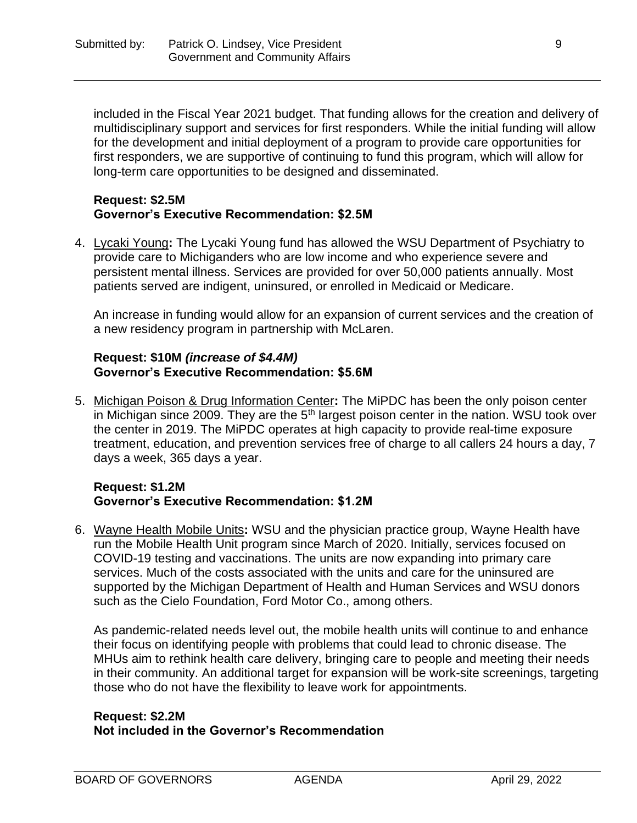included in the Fiscal Year 2021 budget. That funding allows for the creation and delivery of multidisciplinary support and services for first responders. While the initial funding will allow for the development and initial deployment of a program to provide care opportunities for first responders, we are supportive of continuing to fund this program, which will allow for long-term care opportunities to be designed and disseminated.

### **Request: \$2.5M Governor's Executive Recommendation: \$2.5M**

4. Lycaki Young**:** The Lycaki Young fund has allowed the WSU Department of Psychiatry to provide care to Michiganders who are low income and who experience severe and persistent mental illness. Services are provided for over 50,000 patients annually. Most patients served are indigent, uninsured, or enrolled in Medicaid or Medicare.

An increase in funding would allow for an expansion of current services and the creation of a new residency program in partnership with McLaren.

# **Request: \$10M** *(increase of \$4.4M)* **Governor's Executive Recommendation: \$5.6M**

5. Michigan Poison & Drug Information Center**:** The MiPDC has been the only poison center in Michigan since 2009. They are the 5<sup>th</sup> largest poison center in the nation. WSU took over the center in 2019. The MiPDC operates at high capacity to provide real-time exposure treatment, education, and prevention services free of charge to all callers 24 hours a day, 7 days a week, 365 days a year.

# **Request: \$1.2M Governor's Executive Recommendation: \$1.2M**

6. Wayne Health Mobile Units**:** WSU and the physician practice group, Wayne Health have run the Mobile Health Unit program since March of 2020. Initially, services focused on COVID-19 testing and vaccinations. The units are now expanding into primary care services. Much of the costs associated with the units and care for the uninsured are supported by the Michigan Department of Health and Human Services and WSU donors such as the Cielo Foundation, Ford Motor Co., among others.

As pandemic-related needs level out, the mobile health units will continue to and enhance their focus on identifying people with problems that could lead to chronic disease. The MHUs aim to rethink health care delivery, bringing care to people and meeting their needs in their community. An additional target for expansion will be work-site screenings, targeting those who do not have the flexibility to leave work for appointments.

# **Request: \$2.2M Not included in the Governor's Recommendation**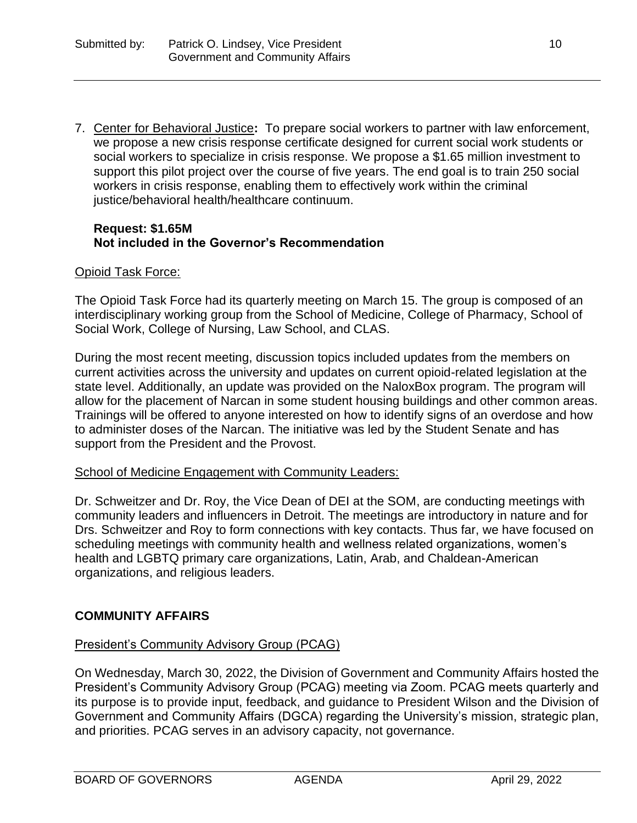7. Center for Behavioral Justice**:** To prepare social workers to partner with law enforcement, we propose a new crisis response certificate designed for current social work students or social workers to specialize in crisis response. We propose a \$1.65 million investment to support this pilot project over the course of five years. The end goal is to train 250 social workers in crisis response, enabling them to effectively work within the criminal justice/behavioral health/healthcare continuum.

### **Request: \$1.65M Not included in the Governor's Recommendation**

### Opioid Task Force:

The Opioid Task Force had its quarterly meeting on March 15. The group is composed of an interdisciplinary working group from the School of Medicine, College of Pharmacy, School of Social Work, College of Nursing, Law School, and CLAS.

During the most recent meeting, discussion topics included updates from the members on current activities across the university and updates on current opioid-related legislation at the state level. Additionally, an update was provided on the NaloxBox program. The program will allow for the placement of Narcan in some student housing buildings and other common areas. Trainings will be offered to anyone interested on how to identify signs of an overdose and how to administer doses of the Narcan. The initiative was led by the Student Senate and has support from the President and the Provost.

#### School of Medicine Engagement with Community Leaders:

Dr. Schweitzer and Dr. Roy, the Vice Dean of DEI at the SOM, are conducting meetings with community leaders and influencers in Detroit. The meetings are introductory in nature and for Drs. Schweitzer and Roy to form connections with key contacts. Thus far, we have focused on scheduling meetings with community health and wellness related organizations, women's health and LGBTQ primary care organizations, Latin, Arab, and Chaldean-American organizations, and religious leaders.

# **COMMUNITY AFFAIRS**

# President's Community Advisory Group (PCAG)

On Wednesday, March 30, 2022, the Division of Government and Community Affairs hosted the President's Community Advisory Group (PCAG) meeting via Zoom. PCAG meets quarterly and its purpose is to provide input, feedback, and guidance to President Wilson and the Division of Government and Community Affairs (DGCA) regarding the University's mission, strategic plan, and priorities. PCAG serves in an advisory capacity, not governance.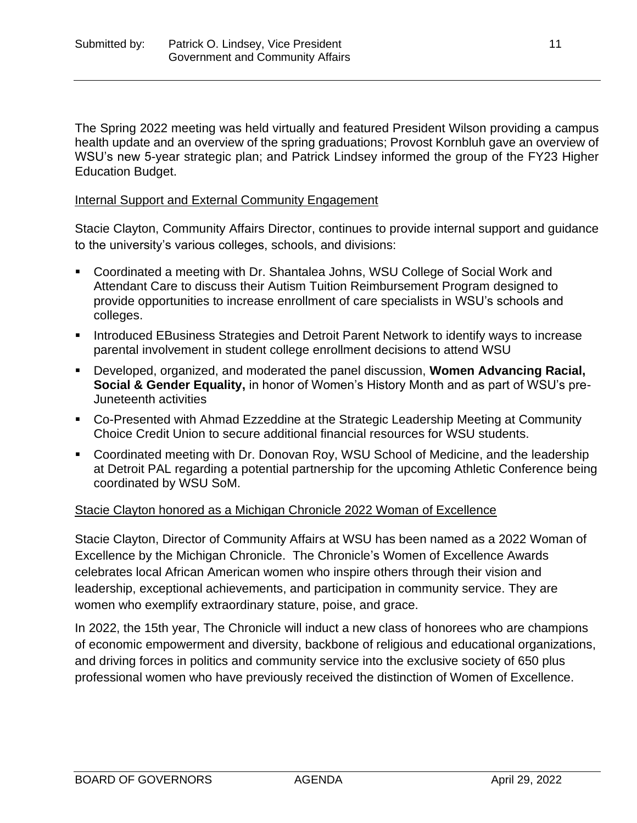The Spring 2022 meeting was held virtually and featured President Wilson providing a campus health update and an overview of the spring graduations; Provost Kornbluh gave an overview of WSU's new 5-year strategic plan; and Patrick Lindsey informed the group of the FY23 Higher Education Budget.

### Internal Support and External Community Engagement

Stacie Clayton, Community Affairs Director, continues to provide internal support and guidance to the university's various colleges, schools, and divisions:

- Coordinated a meeting with Dr. Shantalea Johns, WSU College of Social Work and Attendant Care to discuss their Autism Tuition Reimbursement Program designed to provide opportunities to increase enrollment of care specialists in WSU's schools and colleges.
- **EXEDED FIGHTS INTERTY Interative The Universe** Intervalse **Interchance Increase** parental involvement in student college enrollment decisions to attend WSU
- Developed, organized, and moderated the panel discussion, **Women Advancing Racial, Social & Gender Equality,** in honor of Women's History Month and as part of WSU's pre-Juneteenth activities
- Co-Presented with Ahmad Ezzeddine at the Strategic Leadership Meeting at Community Choice Credit Union to secure additional financial resources for WSU students.
- Coordinated meeting with Dr. Donovan Roy, WSU School of Medicine, and the leadership at Detroit PAL regarding a potential partnership for the upcoming Athletic Conference being coordinated by WSU SoM.

# Stacie Clayton honored as a Michigan Chronicle 2022 Woman of Excellence

Stacie Clayton, Director of Community Affairs at WSU has been named as a 2022 Woman of Excellence by the Michigan Chronicle. The Chronicle's Women of Excellence Awards celebrates local African American women who inspire others through their vision and leadership, exceptional achievements, and participation in community service. They are women who exemplify extraordinary stature, poise, and grace.

In 2022, the 15th year, The Chronicle will induct a new class of honorees who are champions of economic empowerment and diversity, backbone of religious and educational organizations, and driving forces in politics and community service into the exclusive society of 650 plus professional women who have previously received the distinction of Women of Excellence.